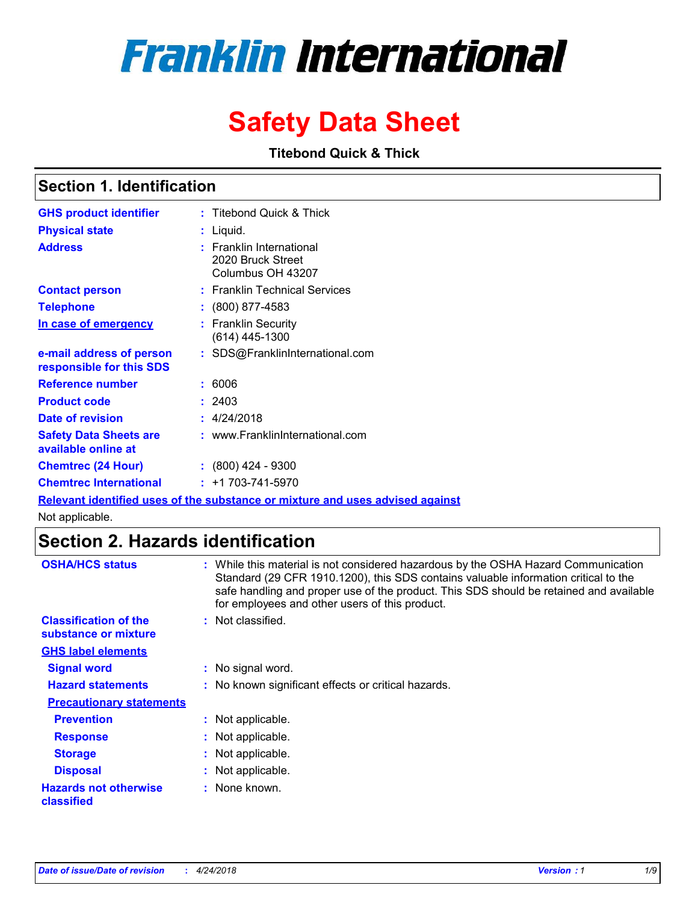# **Franklin International**

# **Safety Data Sheet**

**Titebond Quick & Thick**

### **Section 1. Identification**

| <b>GHS product identifier</b>                        | : Titebond Quick & Thick                                                |
|------------------------------------------------------|-------------------------------------------------------------------------|
| <b>Physical state</b>                                | : Liquid.                                                               |
| <b>Address</b>                                       | <b>Franklin International</b><br>2020 Bruck Street<br>Columbus OH 43207 |
| <b>Contact person</b>                                | : Franklin Technical Services                                           |
| <b>Telephone</b>                                     | $\colon$ (800) 877-4583                                                 |
| In case of emergency                                 | <b>Franklin Security</b><br>(614) 445-1300                              |
| e-mail address of person<br>responsible for this SDS | : SDS@FranklinInternational.com                                         |
| Reference number                                     | : 6006                                                                  |
| <b>Product code</b>                                  | : 2403                                                                  |
| Date of revision                                     | : 4/24/2018                                                             |
| <b>Safety Data Sheets are</b><br>available online at | : www.FranklinInternational.com                                         |
| <b>Chemtrec (24 Hour)</b>                            | $: (800)$ 424 - 9300                                                    |
| <b>Chemtrec International</b>                        | $: +1703 - 741 - 5970$                                                  |

**Relevant identified uses of the substance or mixture and uses advised against**

Not applicable.

# **Section 2. Hazards identification**

| <b>OSHA/HCS status</b>                               | : While this material is not considered hazardous by the OSHA Hazard Communication<br>Standard (29 CFR 1910.1200), this SDS contains valuable information critical to the<br>safe handling and proper use of the product. This SDS should be retained and available<br>for employees and other users of this product. |
|------------------------------------------------------|-----------------------------------------------------------------------------------------------------------------------------------------------------------------------------------------------------------------------------------------------------------------------------------------------------------------------|
| <b>Classification of the</b><br>substance or mixture | : Not classified.                                                                                                                                                                                                                                                                                                     |
| <b>GHS label elements</b>                            |                                                                                                                                                                                                                                                                                                                       |
| <b>Signal word</b>                                   | : No signal word.                                                                                                                                                                                                                                                                                                     |
| <b>Hazard statements</b>                             | : No known significant effects or critical hazards.                                                                                                                                                                                                                                                                   |
| <b>Precautionary statements</b>                      |                                                                                                                                                                                                                                                                                                                       |
| <b>Prevention</b>                                    | : Not applicable.                                                                                                                                                                                                                                                                                                     |
| <b>Response</b>                                      | : Not applicable.                                                                                                                                                                                                                                                                                                     |
| <b>Storage</b>                                       | : Not applicable.                                                                                                                                                                                                                                                                                                     |
| <b>Disposal</b>                                      | : Not applicable.                                                                                                                                                                                                                                                                                                     |
| <b>Hazards not otherwise</b><br>classified           | : None known.                                                                                                                                                                                                                                                                                                         |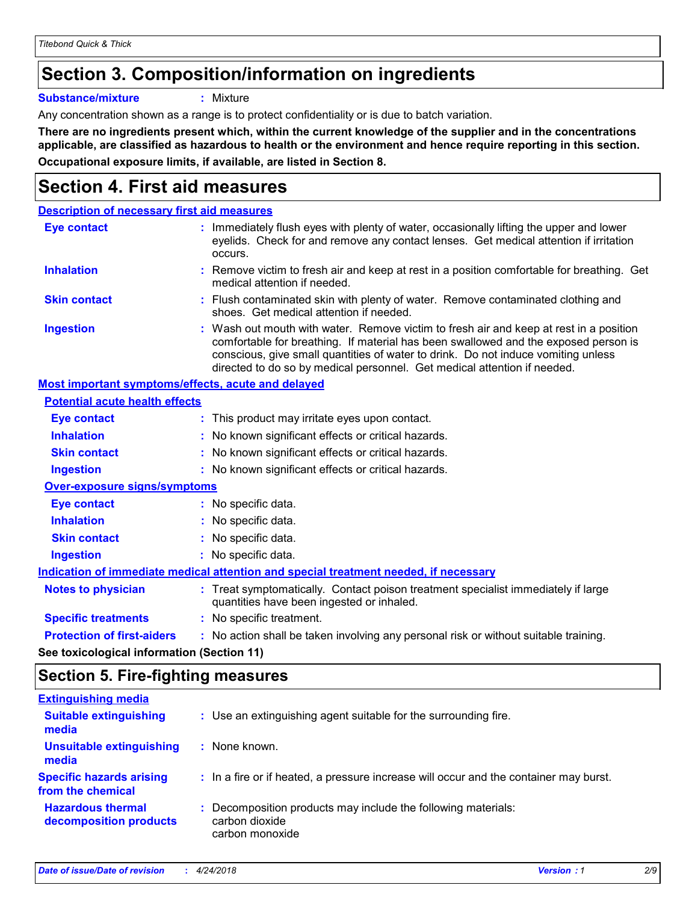# **Section 3. Composition/information on ingredients**

**Substance/mixture :** Mixture

Any concentration shown as a range is to protect confidentiality or is due to batch variation.

**There are no ingredients present which, within the current knowledge of the supplier and in the concentrations applicable, are classified as hazardous to health or the environment and hence require reporting in this section. Occupational exposure limits, if available, are listed in Section 8.**

# **Section 4. First aid measures**

| <b>Description of necessary first aid measures</b> |                                                                                                                                                                                                                                                                                                                                                |
|----------------------------------------------------|------------------------------------------------------------------------------------------------------------------------------------------------------------------------------------------------------------------------------------------------------------------------------------------------------------------------------------------------|
| <b>Eye contact</b>                                 | : Immediately flush eyes with plenty of water, occasionally lifting the upper and lower<br>eyelids. Check for and remove any contact lenses. Get medical attention if irritation<br>occurs.                                                                                                                                                    |
| <b>Inhalation</b>                                  | : Remove victim to fresh air and keep at rest in a position comfortable for breathing. Get<br>medical attention if needed.                                                                                                                                                                                                                     |
| <b>Skin contact</b>                                | : Flush contaminated skin with plenty of water. Remove contaminated clothing and<br>shoes. Get medical attention if needed.                                                                                                                                                                                                                    |
| <b>Ingestion</b>                                   | : Wash out mouth with water. Remove victim to fresh air and keep at rest in a position<br>comfortable for breathing. If material has been swallowed and the exposed person is<br>conscious, give small quantities of water to drink. Do not induce vomiting unless<br>directed to do so by medical personnel. Get medical attention if needed. |
| Most important symptoms/effects, acute and delayed |                                                                                                                                                                                                                                                                                                                                                |
| <b>Potential acute health effects</b>              |                                                                                                                                                                                                                                                                                                                                                |
| <b>Eye contact</b>                                 | : This product may irritate eyes upon contact.                                                                                                                                                                                                                                                                                                 |
| <b>Inhalation</b>                                  | : No known significant effects or critical hazards.                                                                                                                                                                                                                                                                                            |
| <b>Skin contact</b>                                | : No known significant effects or critical hazards.                                                                                                                                                                                                                                                                                            |
| <b>Ingestion</b>                                   | : No known significant effects or critical hazards.                                                                                                                                                                                                                                                                                            |
| <b>Over-exposure signs/symptoms</b>                |                                                                                                                                                                                                                                                                                                                                                |
| Eye contact                                        | : No specific data.                                                                                                                                                                                                                                                                                                                            |
| <b>Inhalation</b>                                  | : No specific data.                                                                                                                                                                                                                                                                                                                            |
| <b>Skin contact</b>                                | : No specific data.                                                                                                                                                                                                                                                                                                                            |
| <b>Ingestion</b>                                   | : No specific data.                                                                                                                                                                                                                                                                                                                            |
|                                                    | Indication of immediate medical attention and special treatment needed, if necessary                                                                                                                                                                                                                                                           |
| <b>Notes to physician</b>                          | : Treat symptomatically. Contact poison treatment specialist immediately if large<br>quantities have been ingested or inhaled.                                                                                                                                                                                                                 |
| <b>Specific treatments</b>                         | : No specific treatment.                                                                                                                                                                                                                                                                                                                       |
| <b>Protection of first-aiders</b>                  | : No action shall be taken involving any personal risk or without suitable training.                                                                                                                                                                                                                                                           |
|                                                    |                                                                                                                                                                                                                                                                                                                                                |

**See toxicological information (Section 11)**

## **Section 5. Fire-fighting measures**

| : Use an extinguishing agent suitable for the surrounding fire.                                    |
|----------------------------------------------------------------------------------------------------|
| : None known.                                                                                      |
| : In a fire or if heated, a pressure increase will occur and the container may burst.              |
| : Decomposition products may include the following materials:<br>carbon dioxide<br>carbon monoxide |
|                                                                                                    |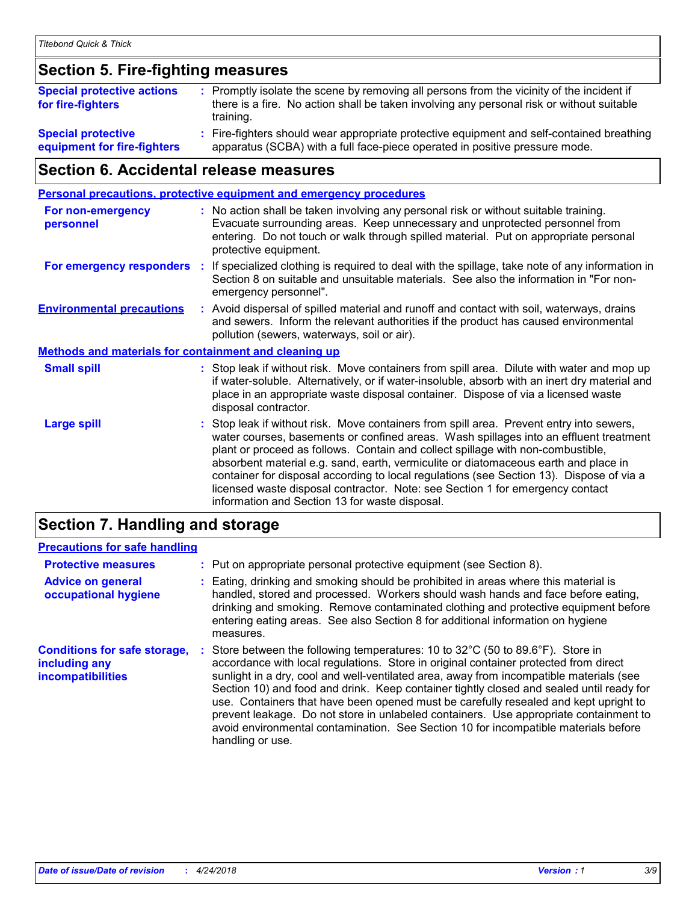### **Section 5. Fire-fighting measures**

| <b>Special protective actions</b><br>for fire-fighters | : Promptly isolate the scene by removing all persons from the vicinity of the incident if<br>there is a fire. No action shall be taken involving any personal risk or without suitable<br>training. |
|--------------------------------------------------------|-----------------------------------------------------------------------------------------------------------------------------------------------------------------------------------------------------|
| <b>Special protective</b>                              | Fire-fighters should wear appropriate protective equipment and self-contained breathing                                                                                                             |
| equipment for fire-fighters                            | apparatus (SCBA) with a full face-piece operated in positive pressure mode.                                                                                                                         |

### **Section 6. Accidental release measures**

|                                                              |    | <b>Personal precautions, protective equipment and emergency procedures</b>                                                                                                                                                                                                                                                                                                                                                                                                                                                                                                                 |
|--------------------------------------------------------------|----|--------------------------------------------------------------------------------------------------------------------------------------------------------------------------------------------------------------------------------------------------------------------------------------------------------------------------------------------------------------------------------------------------------------------------------------------------------------------------------------------------------------------------------------------------------------------------------------------|
| <b>For non-emergency</b><br>personnel                        |    | : No action shall be taken involving any personal risk or without suitable training.<br>Evacuate surrounding areas. Keep unnecessary and unprotected personnel from<br>entering. Do not touch or walk through spilled material. Put on appropriate personal<br>protective equipment.                                                                                                                                                                                                                                                                                                       |
| For emergency responders                                     | ÷. | If specialized clothing is required to deal with the spillage, take note of any information in<br>Section 8 on suitable and unsuitable materials. See also the information in "For non-<br>emergency personnel".                                                                                                                                                                                                                                                                                                                                                                           |
| <b>Environmental precautions</b>                             |    | : Avoid dispersal of spilled material and runoff and contact with soil, waterways, drains<br>and sewers. Inform the relevant authorities if the product has caused environmental<br>pollution (sewers, waterways, soil or air).                                                                                                                                                                                                                                                                                                                                                            |
| <b>Methods and materials for containment and cleaning up</b> |    |                                                                                                                                                                                                                                                                                                                                                                                                                                                                                                                                                                                            |
| <b>Small spill</b>                                           |    | : Stop leak if without risk. Move containers from spill area. Dilute with water and mop up<br>if water-soluble. Alternatively, or if water-insoluble, absorb with an inert dry material and<br>place in an appropriate waste disposal container. Dispose of via a licensed waste<br>disposal contractor.                                                                                                                                                                                                                                                                                   |
| <b>Large spill</b>                                           |    | : Stop leak if without risk. Move containers from spill area. Prevent entry into sewers,<br>water courses, basements or confined areas. Wash spillages into an effluent treatment<br>plant or proceed as follows. Contain and collect spillage with non-combustible,<br>absorbent material e.g. sand, earth, vermiculite or diatomaceous earth and place in<br>container for disposal according to local regulations (see Section 13). Dispose of via a<br>licensed waste disposal contractor. Note: see Section 1 for emergency contact<br>information and Section 13 for waste disposal. |
|                                                              |    |                                                                                                                                                                                                                                                                                                                                                                                                                                                                                                                                                                                            |

### **Section 7. Handling and storage**

### **Precautions for safe handling**

| <b>Protective measures</b>                                                | : Put on appropriate personal protective equipment (see Section 8).                                                                                                                                                                                                                                                                                                                                                                                                                                                                                                                                                                                      |
|---------------------------------------------------------------------------|----------------------------------------------------------------------------------------------------------------------------------------------------------------------------------------------------------------------------------------------------------------------------------------------------------------------------------------------------------------------------------------------------------------------------------------------------------------------------------------------------------------------------------------------------------------------------------------------------------------------------------------------------------|
| <b>Advice on general</b><br>occupational hygiene                          | : Eating, drinking and smoking should be prohibited in areas where this material is<br>handled, stored and processed. Workers should wash hands and face before eating,<br>drinking and smoking. Remove contaminated clothing and protective equipment before<br>entering eating areas. See also Section 8 for additional information on hygiene<br>measures.                                                                                                                                                                                                                                                                                            |
| <b>Conditions for safe storage,</b><br>including any<br>incompatibilities | Store between the following temperatures: 10 to 32°C (50 to 89.6°F). Store in<br>accordance with local regulations. Store in original container protected from direct<br>sunlight in a dry, cool and well-ventilated area, away from incompatible materials (see<br>Section 10) and food and drink. Keep container tightly closed and sealed until ready for<br>use. Containers that have been opened must be carefully resealed and kept upright to<br>prevent leakage. Do not store in unlabeled containers. Use appropriate containment to<br>avoid environmental contamination. See Section 10 for incompatible materials before<br>handling or use. |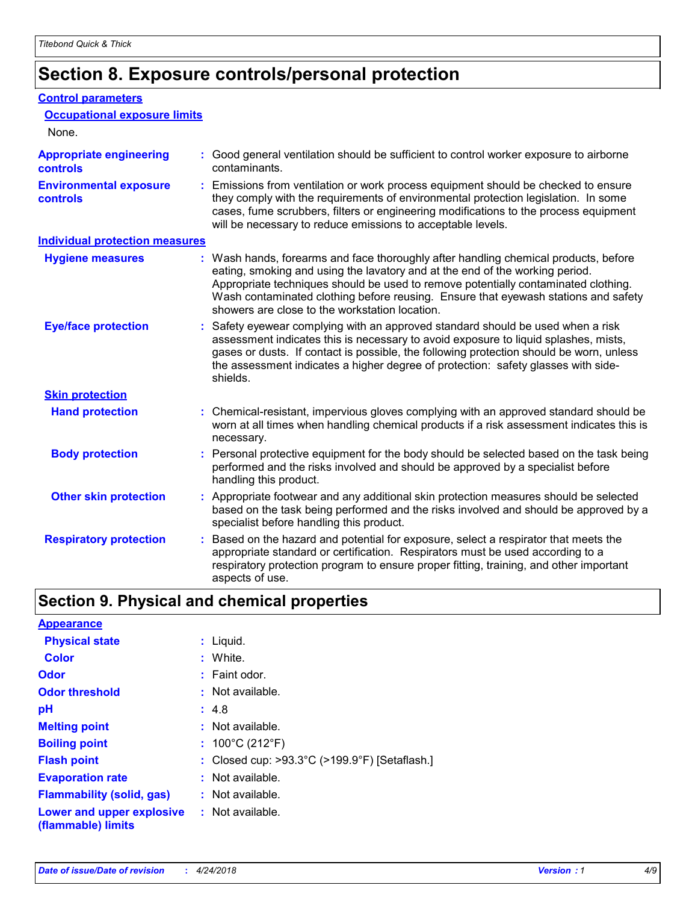# **Section 8. Exposure controls/personal protection**

#### **Control parameters**

| <b>Occupational exposure limits</b><br>None.      |                                                                                                                                                                                                                                                                                                                                                                                                   |
|---------------------------------------------------|---------------------------------------------------------------------------------------------------------------------------------------------------------------------------------------------------------------------------------------------------------------------------------------------------------------------------------------------------------------------------------------------------|
| <b>Appropriate engineering</b><br><b>controls</b> | : Good general ventilation should be sufficient to control worker exposure to airborne<br>contaminants.                                                                                                                                                                                                                                                                                           |
| <b>Environmental exposure</b><br><b>controls</b>  | : Emissions from ventilation or work process equipment should be checked to ensure<br>they comply with the requirements of environmental protection legislation. In some<br>cases, fume scrubbers, filters or engineering modifications to the process equipment<br>will be necessary to reduce emissions to acceptable levels.                                                                   |
| <b>Individual protection measures</b>             |                                                                                                                                                                                                                                                                                                                                                                                                   |
| <b>Hygiene measures</b>                           | : Wash hands, forearms and face thoroughly after handling chemical products, before<br>eating, smoking and using the lavatory and at the end of the working period.<br>Appropriate techniques should be used to remove potentially contaminated clothing.<br>Wash contaminated clothing before reusing. Ensure that eyewash stations and safety<br>showers are close to the workstation location. |
| <b>Eye/face protection</b>                        | : Safety eyewear complying with an approved standard should be used when a risk<br>assessment indicates this is necessary to avoid exposure to liquid splashes, mists,<br>gases or dusts. If contact is possible, the following protection should be worn, unless<br>the assessment indicates a higher degree of protection: safety glasses with side-<br>shields.                                |
| <b>Skin protection</b>                            |                                                                                                                                                                                                                                                                                                                                                                                                   |
| <b>Hand protection</b>                            | : Chemical-resistant, impervious gloves complying with an approved standard should be<br>worn at all times when handling chemical products if a risk assessment indicates this is<br>necessary.                                                                                                                                                                                                   |
| <b>Body protection</b>                            | : Personal protective equipment for the body should be selected based on the task being<br>performed and the risks involved and should be approved by a specialist before<br>handling this product.                                                                                                                                                                                               |
| <b>Other skin protection</b>                      | : Appropriate footwear and any additional skin protection measures should be selected<br>based on the task being performed and the risks involved and should be approved by a<br>specialist before handling this product.                                                                                                                                                                         |
| <b>Respiratory protection</b>                     | : Based on the hazard and potential for exposure, select a respirator that meets the<br>appropriate standard or certification. Respirators must be used according to a<br>respiratory protection program to ensure proper fitting, training, and other important<br>aspects of use.                                                                                                               |

# **Section 9. Physical and chemical properties**

| <b>Appearance</b>                                                       |                                                                    |
|-------------------------------------------------------------------------|--------------------------------------------------------------------|
| <b>Physical state</b>                                                   | : Liquid.                                                          |
| <b>Color</b>                                                            | : White.                                                           |
| <b>Odor</b>                                                             | $:$ Faint odor.                                                    |
| <b>Odor threshold</b>                                                   | $:$ Not available.                                                 |
| рH                                                                      | : 4.8                                                              |
| <b>Melting point</b>                                                    | $:$ Not available.                                                 |
| <b>Boiling point</b>                                                    | : $100^{\circ}$ C (212 $^{\circ}$ F)                               |
| <b>Flash point</b>                                                      | : Closed cup: $>93.3^{\circ}$ C ( $>199.9^{\circ}$ F) [Setaflash.] |
| <b>Evaporation rate</b>                                                 | $:$ Not available.                                                 |
| <b>Flammability (solid, gas)</b>                                        | $:$ Not available.                                                 |
| <b>Lower and upper explosive : Not available.</b><br>(flammable) limits |                                                                    |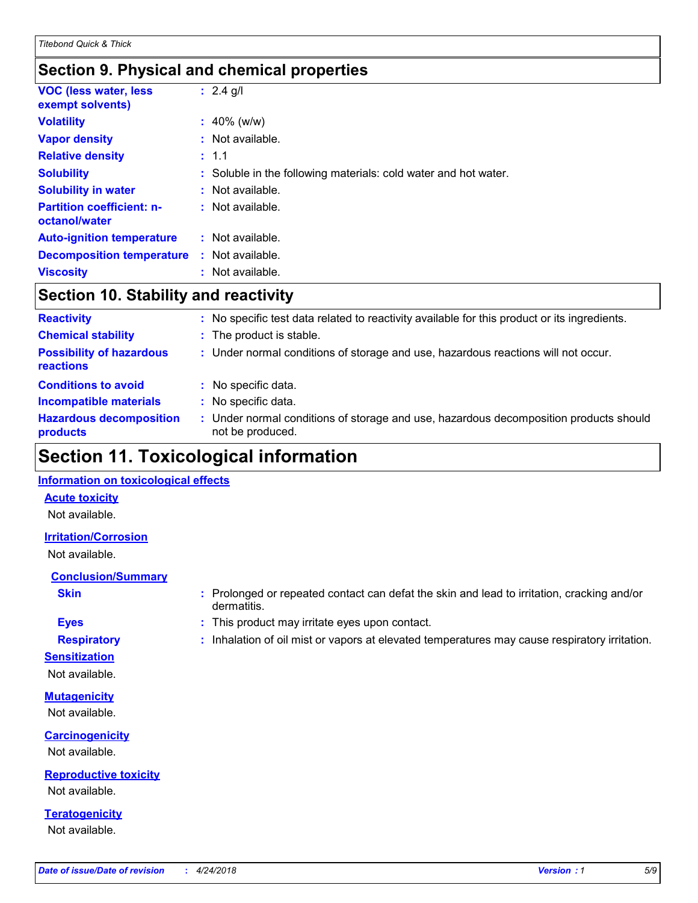### **Section 9. Physical and chemical properties**

| <b>VOC (less water, less)</b><br>exempt solvents) | : $2.4$ g/l                                                     |
|---------------------------------------------------|-----------------------------------------------------------------|
| <b>Volatility</b>                                 | $: 40\%$ (w/w)                                                  |
| <b>Vapor density</b>                              | $:$ Not available.                                              |
| <b>Relative density</b>                           | : 1.1                                                           |
| <b>Solubility</b>                                 | : Soluble in the following materials: cold water and hot water. |
| <b>Solubility in water</b>                        | : Not available.                                                |
| <b>Partition coefficient: n-</b><br>octanol/water | : Not available.                                                |
| <b>Auto-ignition temperature</b>                  | $:$ Not available.                                              |
| <b>Decomposition temperature</b>                  | : Not available.                                                |
| <b>Viscosity</b>                                  | Not available.                                                  |

### **Section 10. Stability and reactivity**

| <b>Reactivity</b>                            |    | No specific test data related to reactivity available for this product or its ingredients.              |
|----------------------------------------------|----|---------------------------------------------------------------------------------------------------------|
| <b>Chemical stability</b>                    |    | : The product is stable.                                                                                |
| <b>Possibility of hazardous</b><br>reactions |    | : Under normal conditions of storage and use, hazardous reactions will not occur.                       |
| <b>Conditions to avoid</b>                   |    | : No specific data.                                                                                     |
| <b>Incompatible materials</b>                | ÷. | No specific data.                                                                                       |
| <b>Hazardous decomposition</b><br>products   |    | Under normal conditions of storage and use, hazardous decomposition products should<br>not be produced. |

# **Section 11. Toxicological information**

#### **Information on toxicological effects**

#### **Acute toxicity**

Not available.

#### **Irritation/Corrosion**

Not available.

#### **Conclusion/Summary**

- 
- **Sensitization**

Not available.

**Mutagenicity** Not available.

**Carcinogenicity** Not available.

**Reproductive toxicity** Not available.

**Teratogenicity** Not available.

- **Skin Example 3 :** Prolonged or repeated contact can defat the skin and lead to irritation, cracking and/or dermatitis.
- **Eyes :** This product may irritate eyes upon contact.
- **Respiratory :** Inhalation of oil mist or vapors at elevated temperatures may cause respiratory irritation.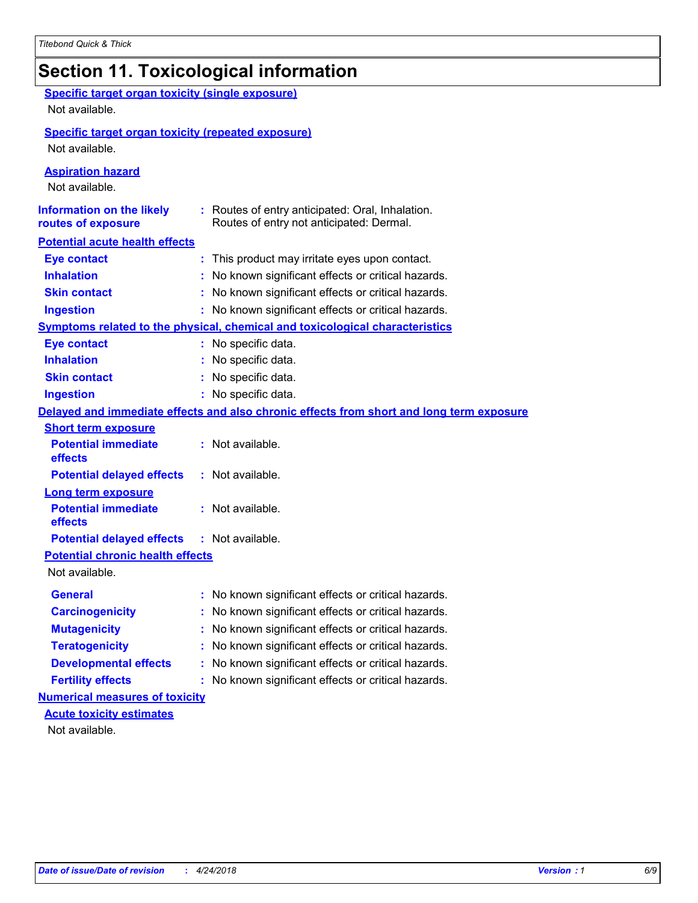# **Section 11. Toxicological information**

| <b>Specific target organ toxicity (single exposure)</b><br>Not available.   |                                                                                              |
|-----------------------------------------------------------------------------|----------------------------------------------------------------------------------------------|
| <b>Specific target organ toxicity (repeated exposure)</b><br>Not available. |                                                                                              |
| <b>Aspiration hazard</b><br>Not available.                                  |                                                                                              |
| <b>Information on the likely</b><br>routes of exposure                      | : Routes of entry anticipated: Oral, Inhalation.<br>Routes of entry not anticipated: Dermal. |
| <b>Potential acute health effects</b>                                       |                                                                                              |
| <b>Eye contact</b>                                                          | : This product may irritate eyes upon contact.                                               |
| <b>Inhalation</b>                                                           | : No known significant effects or critical hazards.                                          |
| <b>Skin contact</b>                                                         | : No known significant effects or critical hazards.                                          |
| <b>Ingestion</b>                                                            | : No known significant effects or critical hazards.                                          |
|                                                                             | <b>Symptoms related to the physical, chemical and toxicological characteristics</b>          |
| <b>Eye contact</b>                                                          | : No specific data.                                                                          |
| <b>Inhalation</b>                                                           | : No specific data.                                                                          |
| <b>Skin contact</b>                                                         | : No specific data.                                                                          |
| <b>Ingestion</b>                                                            | : No specific data.                                                                          |
|                                                                             | Delayed and immediate effects and also chronic effects from short and long term exposure     |
| <b>Short term exposure</b>                                                  |                                                                                              |
| <b>Potential immediate</b><br>effects                                       | : Not available.                                                                             |
| <b>Potential delayed effects</b>                                            | : Not available.                                                                             |
| <b>Long term exposure</b>                                                   |                                                                                              |
| <b>Potential immediate</b><br>effects                                       | : Not available.                                                                             |
| <b>Potential delayed effects</b>                                            | : Not available.                                                                             |
| <b>Potential chronic health effects</b>                                     |                                                                                              |
| Not available.                                                              |                                                                                              |
| <b>General</b>                                                              | No known significant effects or critical hazards.                                            |
| <b>Carcinogenicity</b>                                                      | : No known significant effects or critical hazards.                                          |
| <b>Mutagenicity</b>                                                         | No known significant effects or critical hazards.                                            |
| <b>Teratogenicity</b>                                                       | No known significant effects or critical hazards.                                            |
| <b>Developmental effects</b>                                                | No known significant effects or critical hazards.                                            |
| <b>Fertility effects</b>                                                    | : No known significant effects or critical hazards.                                          |
| <b>Numerical measures of toxicity</b>                                       |                                                                                              |
| <b>Acute toxicity estimates</b>                                             |                                                                                              |
| Not available.                                                              |                                                                                              |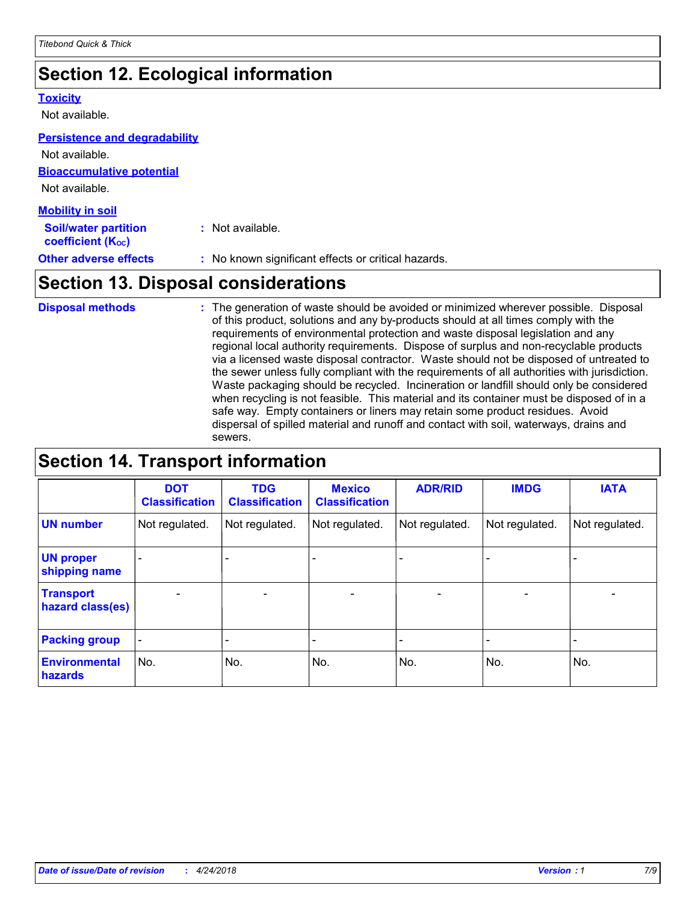# **Section 12. Ecological information**

#### **Toxicity**

Not available.

#### **Persistence and degradability**

**Bioaccumulative potential** Not available. Not available.

| <b>Mobility in soil</b>                                 |                                                     |
|---------------------------------------------------------|-----------------------------------------------------|
| <b>Soil/water partition</b><br><b>coefficient (Koc)</b> | $:$ Not available.                                  |
| <b>Other adverse effects</b>                            | : No known significant effects or critical hazards. |

# **Section 13. Disposal considerations**

The generation of waste should be avoided or minimized wherever possible. Disposal of this product, solutions and any by-products should at all times comply with the requirements of environmental protection and waste disposal legislation and any regional local authority requirements. Dispose of surplus and non-recyclable products via a licensed waste disposal contractor. Waste should not be disposed of untreated to the sewer unless fully compliant with the requirements of all authorities with jurisdiction. Waste packaging should be recycled. Incineration or landfill should only be considered when recycling is not feasible. This material and its container must be disposed of in a safe way. Empty containers or liners may retain some product residues. Avoid dispersal of spilled material and runoff and contact with soil, waterways, drains and sewers. **Disposal methods :**

# **Section 14. Transport information**

|                                      | <b>DOT</b><br><b>Classification</b> | <b>TDG</b><br><b>Classification</b> | <b>Mexico</b><br><b>Classification</b> | <b>ADR/RID</b>               | <b>IMDG</b>              | <b>IATA</b>              |
|--------------------------------------|-------------------------------------|-------------------------------------|----------------------------------------|------------------------------|--------------------------|--------------------------|
| <b>UN number</b>                     | Not regulated.                      | Not regulated.                      | Not regulated.                         | Not regulated.               | Not regulated.           | Not regulated.           |
| <b>UN proper</b><br>shipping name    |                                     |                                     |                                        |                              |                          |                          |
| <b>Transport</b><br>hazard class(es) | $\overline{\phantom{0}}$            | $\overline{\phantom{0}}$            | $\qquad \qquad$                        | $\qquad \qquad \blacksquare$ | $\overline{\phantom{0}}$ | $\overline{\phantom{0}}$ |
| <b>Packing group</b>                 | $\blacksquare$                      | -                                   |                                        | -                            |                          | -                        |
| <b>Environmental</b><br>hazards      | No.                                 | No.                                 | No.                                    | No.                          | No.                      | No.                      |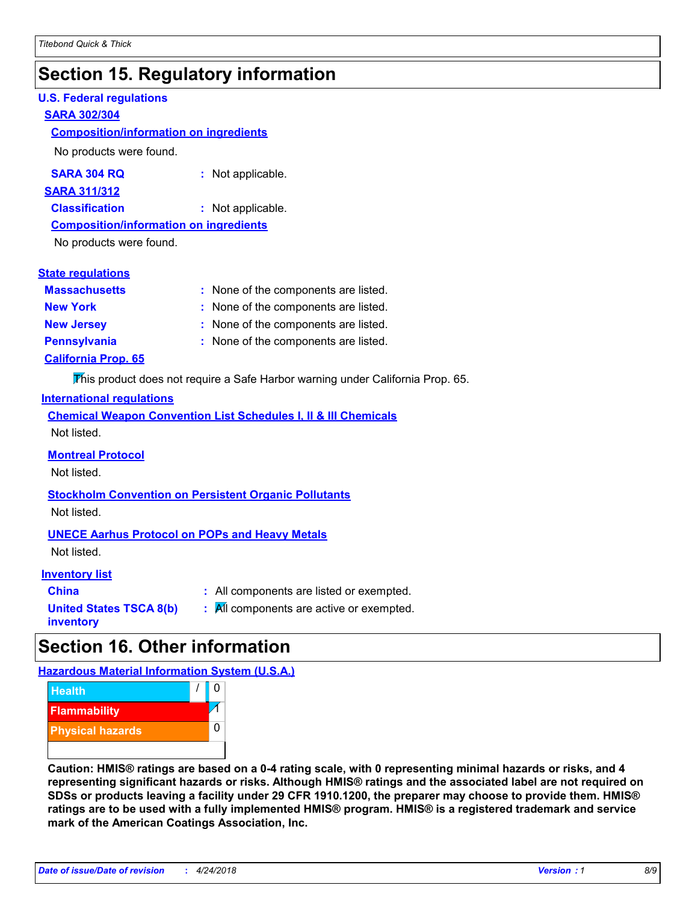# **Section 15. Regulatory information**

#### **U.S. Federal regulations**

#### **SARA 302/304**

#### **Composition/information on ingredients**

No products were found.

| SARA 304 RQ | Not applicable. |
|-------------|-----------------|
|-------------|-----------------|

#### **SARA 311/312**

**Classification :** Not applicable.

#### **Composition/information on ingredients**

No products were found.

#### **State regulations**

| <b>Massachusetts</b>       | : None of the components are listed. |
|----------------------------|--------------------------------------|
| <b>New York</b>            | : None of the components are listed. |
| <b>New Jersey</b>          | : None of the components are listed. |
| <b>Pennsylvania</b>        | : None of the components are listed. |
| <b>California Prop. 65</b> |                                      |

This product does not require a Safe Harbor warning under California Prop. 65.

#### **International regulations**

|             |  |  | <b>Chemical Weapon Convention List Schedules I, II &amp; III Chemicals</b> |  |
|-------------|--|--|----------------------------------------------------------------------------|--|
| Not listed. |  |  |                                                                            |  |

#### **Montreal Protocol**

Not listed.

# **Stockholm Convention on Persistent Organic Pollutants**

Not listed.

#### **UNECE Aarhus Protocol on POPs and Heavy Metals**

Not listed.

#### **Inventory list**

| <b>China</b>                   |  |
|--------------------------------|--|
| <b>United States TSCA 8(b)</b> |  |
| inventory                      |  |

**:** All components are listed or exempted. **:** All components are active or exempted.

# **Section 16. Other information**

**Hazardous Material Information System (U.S.A.)**



**Caution: HMIS® ratings are based on a 0-4 rating scale, with 0 representing minimal hazards or risks, and 4 representing significant hazards or risks. Although HMIS® ratings and the associated label are not required on SDSs or products leaving a facility under 29 CFR 1910.1200, the preparer may choose to provide them. HMIS® ratings are to be used with a fully implemented HMIS® program. HMIS® is a registered trademark and service mark of the American Coatings Association, Inc.**